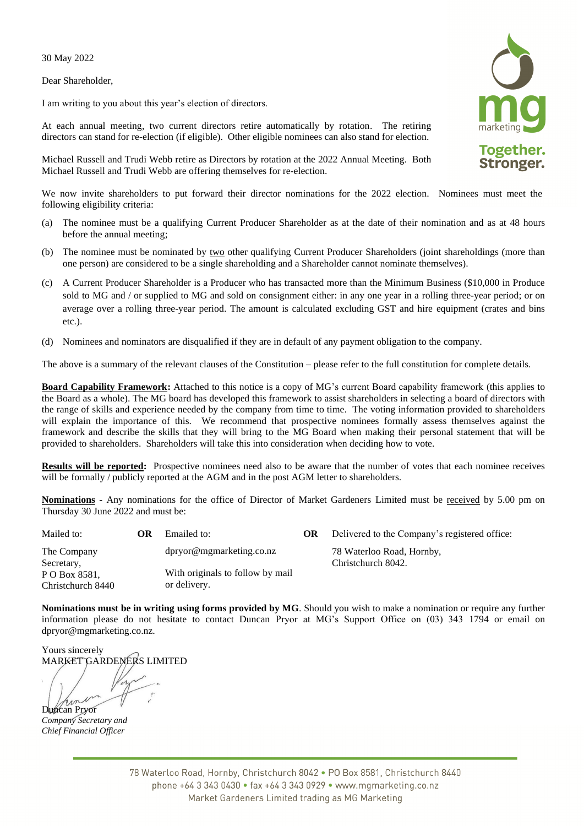30 May 2022

Dear Shareholder,

I am writing to you about this year's election of directors.

At each annual meeting, two current directors retire automatically by rotation. The retiring directors can stand for re-election (if eligible). Other eligible nominees can also stand for election.

Michael Russell and Trudi Webb retire as Directors by rotation at the 2022 Annual Meeting. Both Michael Russell and Trudi Webb are offering themselves for re-election.

We now invite shareholders to put forward their director nominations for the 2022 election. Nominees must meet the following eligibility criteria:

- (a) The nominee must be a qualifying Current Producer Shareholder as at the date of their nomination and as at 48 hours before the annual meeting;
- (b) The nominee must be nominated by two other qualifying Current Producer Shareholders (joint shareholdings (more than one person) are considered to be a single shareholding and a Shareholder cannot nominate themselves).
- (c) A Current Producer Shareholder is a Producer who has transacted more than the Minimum Business (\$10,000 in Produce sold to MG and / or supplied to MG and sold on consignment either: in any one year in a rolling three-year period; or on average over a rolling three-year period. The amount is calculated excluding GST and hire equipment (crates and bins etc.).
- (d) Nominees and nominators are disqualified if they are in default of any payment obligation to the company.

The above is a summary of the relevant clauses of the Constitution – please refer to the full constitution for complete details.

**Board Capability Framework:** Attached to this notice is a copy of MG's current Board capability framework (this applies to the Board as a whole). The MG board has developed this framework to assist shareholders in selecting a board of directors with the range of skills and experience needed by the company from time to time. The voting information provided to shareholders will explain the importance of this. We recommend that prospective nominees formally assess themselves against the framework and describe the skills that they will bring to the MG Board when making their personal statement that will be provided to shareholders. Shareholders will take this into consideration when deciding how to vote.

**Results will be reported:** Prospective nominees need also to be aware that the number of votes that each nominee receives will be formally / publicly reported at the AGM and in the post AGM letter to shareholders.

**Nominations -** Any nominations for the office of Director of Market Gardeners Limited must be received by 5.00 pm on Thursday 30 June 2022 and must be:

| Mailed to:                                                      | ОR | Emailed to:                                                                  | OR | Delivered to the Company's registered office:   |
|-----------------------------------------------------------------|----|------------------------------------------------------------------------------|----|-------------------------------------------------|
| The Company<br>Secretary,<br>P O Box 8581,<br>Christchurch 8440 |    | dpryor@mgmarketing.co.nz<br>With originals to follow by mail<br>or delivery. |    | 78 Waterloo Road, Hornby,<br>Christchurch 8042. |

**Nominations must be in writing using forms provided by MG**. Should you wish to make a nomination or require any further information please do not hesitate to contact Duncan Pryor at MG's Support Office on (03) 343 1794 or email on dpryor@mgmarketing.co.nz.

Yours sincerely MARKET GARDENERS LIMITED

Duncan Pryor

*Company Secretary and Chief Financial Officer*

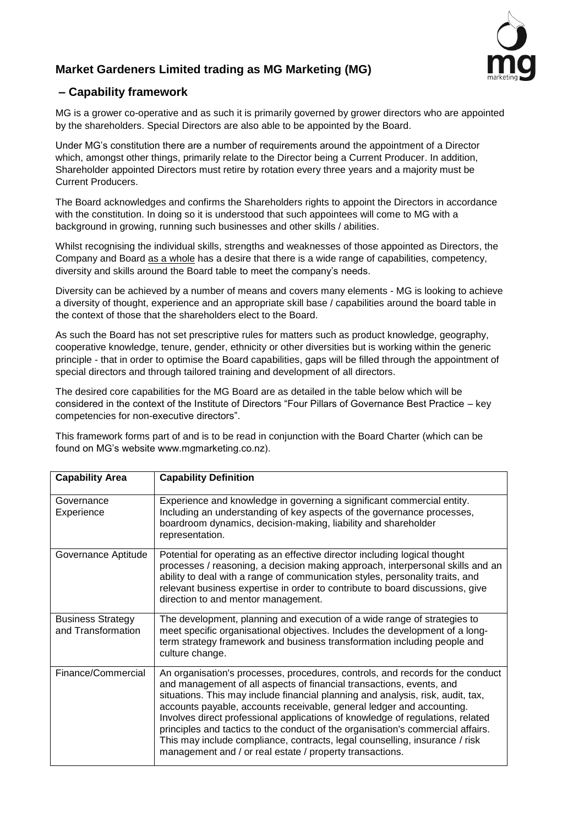

## **Market Gardeners Limited trading as MG Marketing (MG)**

## **– Capability framework**

MG is a grower co-operative and as such it is primarily governed by grower directors who are appointed by the shareholders. Special Directors are also able to be appointed by the Board.

Under MG's constitution there are a number of requirements around the appointment of a Director which, amongst other things, primarily relate to the Director being a Current Producer. In addition, Shareholder appointed Directors must retire by rotation every three years and a majority must be Current Producers.

The Board acknowledges and confirms the Shareholders rights to appoint the Directors in accordance with the constitution. In doing so it is understood that such appointees will come to MG with a background in growing, running such businesses and other skills / abilities.

Whilst recognising the individual skills, strengths and weaknesses of those appointed as Directors, the Company and Board as a whole has a desire that there is a wide range of capabilities, competency, diversity and skills around the Board table to meet the company's needs.

Diversity can be achieved by a number of means and covers many elements - MG is looking to achieve a diversity of thought, experience and an appropriate skill base / capabilities around the board table in the context of those that the shareholders elect to the Board.

As such the Board has not set prescriptive rules for matters such as product knowledge, geography, cooperative knowledge, tenure, gender, ethnicity or other diversities but is working within the generic principle - that in order to optimise the Board capabilities, gaps will be filled through the appointment of special directors and through tailored training and development of all directors.

The desired core capabilities for the MG Board are as detailed in the table below which will be considered in the context of the Institute of Directors "Four Pillars of Governance Best Practice – key competencies for non-executive directors".

This framework forms part of and is to be read in conjunction with the Board Charter (which can be found on MG's website www.mgmarketing.co.nz).

| <b>Capability Area</b>                         | <b>Capability Definition</b>                                                                                                                                                                                                                                                                                                                                                                                                                                                                                                                                                                                                       |
|------------------------------------------------|------------------------------------------------------------------------------------------------------------------------------------------------------------------------------------------------------------------------------------------------------------------------------------------------------------------------------------------------------------------------------------------------------------------------------------------------------------------------------------------------------------------------------------------------------------------------------------------------------------------------------------|
| Governance<br>Experience                       | Experience and knowledge in governing a significant commercial entity.<br>Including an understanding of key aspects of the governance processes,<br>boardroom dynamics, decision-making, liability and shareholder<br>representation.                                                                                                                                                                                                                                                                                                                                                                                              |
| Governance Aptitude                            | Potential for operating as an effective director including logical thought<br>processes / reasoning, a decision making approach, interpersonal skills and an<br>ability to deal with a range of communication styles, personality traits, and<br>relevant business expertise in order to contribute to board discussions, give<br>direction to and mentor management.                                                                                                                                                                                                                                                              |
| <b>Business Strategy</b><br>and Transformation | The development, planning and execution of a wide range of strategies to<br>meet specific organisational objectives. Includes the development of a long-<br>term strategy framework and business transformation including people and<br>culture change.                                                                                                                                                                                                                                                                                                                                                                            |
| Finance/Commercial                             | An organisation's processes, procedures, controls, and records for the conduct<br>and management of all aspects of financial transactions, events, and<br>situations. This may include financial planning and analysis, risk, audit, tax,<br>accounts payable, accounts receivable, general ledger and accounting.<br>Involves direct professional applications of knowledge of regulations, related<br>principles and tactics to the conduct of the organisation's commercial affairs.<br>This may include compliance, contracts, legal counselling, insurance / risk<br>management and / or real estate / property transactions. |